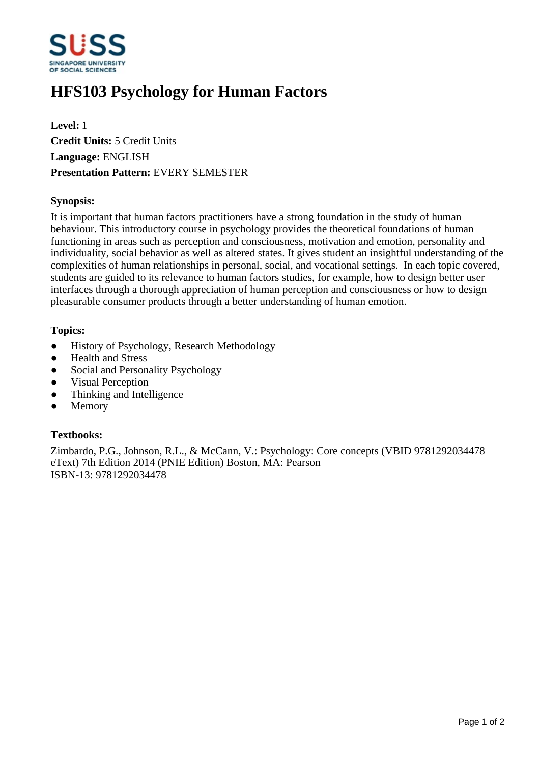

# **HFS103 Psychology for Human Factors**

**Level:** 1 **Credit Units:** 5 Credit Units **Language:** ENGLISH **Presentation Pattern:** EVERY SEMESTER

## **Synopsis:**

It is important that human factors practitioners have a strong foundation in the study of human behaviour. This introductory course in psychology provides the theoretical foundations of human functioning in areas such as perception and consciousness, motivation and emotion, personality and individuality, social behavior as well as altered states. It gives student an insightful understanding of the complexities of human relationships in personal, social, and vocational settings. In each topic covered, students are guided to its relevance to human factors studies, for example, how to design better user interfaces through a thorough appreciation of human perception and consciousness or how to design pleasurable consumer products through a better understanding of human emotion.

## **Topics:**

- History of Psychology, Research Methodology
- Health and Stress
- Social and Personality Psychology
- Visual Perception
- Thinking and Intelligence
- Memory

# **Textbooks:**

Zimbardo, P.G., Johnson, R.L., & McCann, V.: Psychology: Core concepts (VBID 9781292034478 eText) 7th Edition 2014 (PNIE Edition) Boston, MA: Pearson ISBN-13: 9781292034478